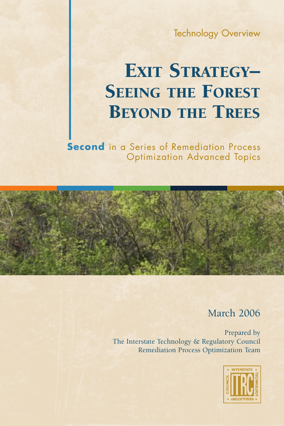Technology Overview

# EXIT STRATEGY– **SEEING THE FOREST BEYOND THE TREES**

**Second** in a Series of Remediation Process Optimization Advanced Topics

#### March 2006

Prepared by The Interstate Technology & Regulatory Council Remediation Process Optimization Team

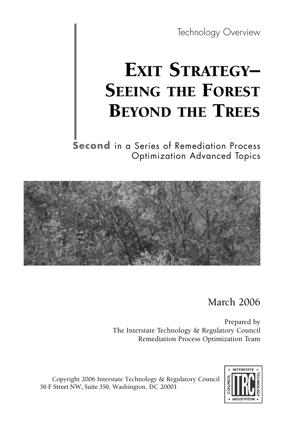Technology Overview

# EXIT STRATEGY-**SEEING THE FOREST** BEYOND THE TREES

**Second** in a Series of Remediation Process Optimization Advanced Topics



March 2006

Prepared by The Interstate Technology & Regulatory Council Remediation Process Optimization Team

Copyright 2006 Interstate Technology & Regulatory Council 50 F Street NW, Suite 350, Washington, DC 20001

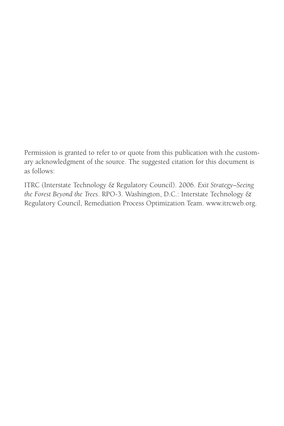Permission is granted to refer to or quote from this publication with the customary acknowledgment of the source. The suggested citation for this document is as follows:

ITRC (Interstate Technology & Regulatory Council). 2006. *Exit Strategy–Seeing the Forest Beyond the Trees*. RPO-3. Washington, D.C.: Interstate Technology & Regulatory Council, Remediation Process Optimization Team. www.itrcweb.org.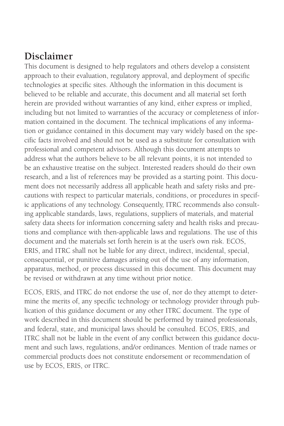#### **Disclaimer**

This document is designed to help regulators and others develop a consistent approach to their evaluation, regulatory approval, and deployment of specific technologies at specific sites. Although the information in this document is believed to be reliable and accurate, this document and all material set forth herein are provided without warranties of any kind, either express or implied, including but not limited to warranties of the accuracy or completeness of information contained in the document. The technical implications of any information or guidance contained in this document may vary widely based on the specific facts involved and should not be used as a substitute for consultation with professional and competent advisors. Although this document attempts to address what the authors believe to be all relevant points, it is not intended to be an exhaustive treatise on the subject. Interested readers should do their own research, and a list of references may be provided as a starting point. This document does not necessarily address all applicable heath and safety risks and precautions with respect to particular materials, conditions, or procedures in specific applications of any technology. Consequently, ITRC recommends also consulting applicable standards, laws, regulations, suppliers of materials, and material safety data sheets for information concerning safety and health risks and precautions and compliance with then-applicable laws and regulations. The use of this document and the materials set forth herein is at the user's own risk. ECOS, ERIS, and ITRC shall not be liable for any direct, indirect, incidental, special, consequential, or punitive damages arising out of the use of any information, apparatus, method, or process discussed in this document. This document may be revised or withdrawn at any time without prior notice.

ECOS, ERIS, and ITRC do not endorse the use of, nor do they attempt to determine the merits of, any specific technology or technology provider through publication of this guidance document or any other ITRC document. The type of work described in this document should be performed by trained professionals, and federal, state, and municipal laws should be consulted. ECOS, ERIS, and ITRC shall not be liable in the event of any conflict between this guidance document and such laws, regulations, and/or ordinances. Mention of trade names or commercial products does not constitute endorsement or recommendation of use by ECOS, ERIS, or ITRC.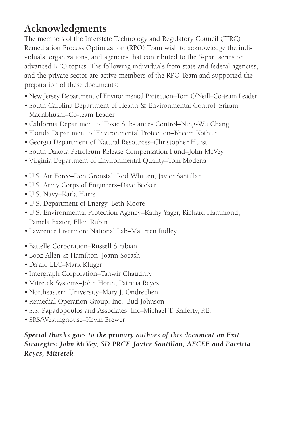# **Acknowledgments**

The members of the Interstate Technology and Regulatory Council (ITRC) Remediation Process Optimization (RPO) Team wish to acknowledge the individuals, organizations, and agencies that contributed to the 5-part series on advanced RPO topics. The following individuals from state and federal agencies, and the private sector are active members of the RPO Team and supported the preparation of these documents:

- New Jersey Department of Environmental Protection–Tom O'Neill–Co-team Leader
- South Carolina Department of Health & Environmental Control–Sriram Madabhushi–Co-team Leader
- •California Department of Toxic Substances Control–Ning-Wu Chang
- Florida Department of Environmental Protection–Bheem Kothur
- •Georgia Department of Natural Resources–Christopher Hurst
- South Dakota Petroleum Release Compensation Fund–John McVey
- Virginia Department of Environmental Quality–Tom Modena
- •U.S. Air Force–Don Gronstal, Rod Whitten, Javier Santillan
- •U.S. Army Corps of Engineers–Dave Becker
- •U.S. Navy–Karla Harre
- •U.S. Department of Energy–Beth Moore
- •U.S. Environmental Protection Agency–Kathy Yager, Richard Hammond, Pamela Baxter, Ellen Rubin
- Lawrence Livermore National Lab–Maureen Ridley
- Battelle Corporation–Russell Sirabian
- Booz Allen & Hamilton–Joann Socash
- •Dajak, LLC–Mark Kluger
- Intergraph Corporation–Tanwir Chaudhry
- Mitretek Systems–John Horin, Patricia Reyes
- Northeastern University–Mary J. Ondrechen
- Remedial Operation Group, Inc.–Bud Johnson
- S.S. Papadopoulos and Associates, Inc–Michael T. Rafferty, P.E.
- SRS/Westinghouse–Kevin Brewer

#### *Special thanks goes to the primary authors of this document on Exit Strategies: John McVey, SD PRCF, Javier Santillan, AFCEE and Patricia Reyes, Mitretek.*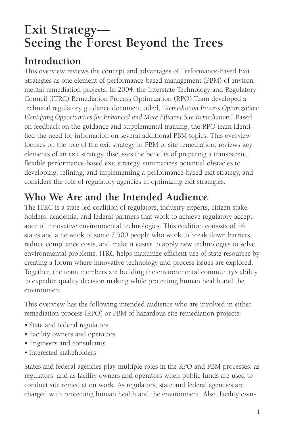# **Exit Strategy— Seeing the Forest Beyond the Trees**

## **Introduction**

This overview reviews the concept and advantages of Performance-Based Exit Strategies as one element of performance-based management (PBM) of environmental remediation projects. In 2004, the Interstate Technology and Regulatory Council (ITRC) Remediation Process Optimization (RPO) Team developed a technical regulatory guidance document titled, "*Remediation Process Optimization: Identifying Opportunities for Enhanced and More Efficient Site Remediation.*" Based on feedback on the guidance and supplemental training, the RPO team identified the need for information on several additional PBM topics. This overview focuses on the role of the exit strategy in PBM of site remediation; reviews key elements of an exit strategy, discusses the benefits of preparing a transparent, flexible performance-based exit strategy, summarizes potential obstacles to developing, refining, and implementing a performance-based exit strategy, and considers the role of regulatory agencies in optimizing exit strategies.

## **Who We Are and the Intended Audience**

The ITRC is a state-led coalition of regulators, industry experts, citizen stakeholders, academia, and federal partners that work to achieve regulatory acceptance of innovative environmental technologies. This coalition consists of 46 states and a network of some 7,500 people who work to break down barriers, reduce compliance costs, and make it easier to apply new technologies to solve environmental problems. ITRC helps maximize efficient use of state resources by creating a forum where innovative technology and process issues are explored. Together, the team members are building the environmental community's ability to expedite quality decision making while protecting human health and the environment.

This overview has the following intended audience who are involved in either remediation process (RPO) or PBM of hazardous site remediation projects:

- State and federal regulators
- Facility owners and operators
- Engineers and consultants
- Interested stakeholders

States and federal agencies play multiple roles in the RPO and PBM processes: as regulators, and as facility owners and operators when public funds are used to conduct site remediation work. As regulators, state and federal agencies are charged with protecting human health and the environment. Also, facility own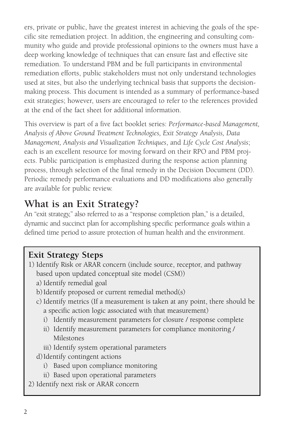ers, private or public, have the greatest interest in achieving the goals of the specific site remediation project. In addition, the engineering and consulting community who guide and provide professional opinions to the owners must have a deep working knowledge of techniques that can ensure fast and effective site remediation. To understand PBM and be full participants in environmental remediation efforts, public stakeholders must not only understand technologies used at sites, but also the underlying technical basis that supports the decisionmaking process. This document is intended as a summary of performance-based exit strategies; however, users are encouraged to refer to the references provided at the end of the fact sheet for additional information.

This overview is part of a five fact booklet series: *Performance-based Management, Analysis of Above Ground Treatment Technologies, Exit Strategy Analysis, Data Management, Analysis and Visualization Techniques*, and *Life Cycle Cost Analysis*; each is an excellent resource for moving forward on their RPO and PBM projects. Public participation is emphasized during the response action planning process, through selection of the final remedy in the Decision Document (DD). Periodic remedy performance evaluations and DD modifications also generally are available for public review.

## **What is an Exit Strategy?**

An "exit strategy," also referred to as a "response completion plan," is a detailed, dynamic and succinct plan for accomplishing specific performance goals within a defined time period to assure protection of human health and the environment.

#### **Exit Strategy Steps**

- 1) Identify Risk or ARAR concern (include source, receptor, and pathway based upon updated conceptual site model (CSM))
	- a) Identify remedial goal
	- b)Identify proposed or current remedial method(s)
	- c) Identify metrics (If a measurement is taken at any point, there should be a specific action logic associated with that measurement)
		- i) Identify measurement parameters for closure / response complete
		- ii) Identify measurement parameters for compliance monitoring / Milestones
		- iii) Identify system operational parameters
	- d)Identify contingent actions
		- i) Based upon compliance monitoring
		- ii) Based upon operational parameters
- 2) Identify next risk or ARAR concern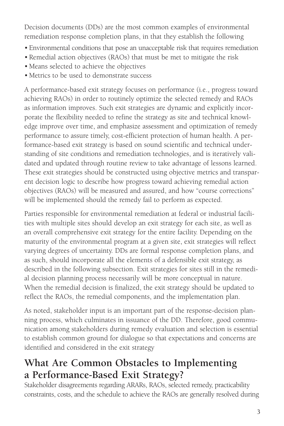Decision documents (DDs) are the most common examples of environmental remediation response completion plans, in that they establish the following

- Environmental conditions that pose an unacceptable risk that requires remediation
- Remedial action objectives (RAOs) that must be met to mitigate the risk
- Means selected to achieve the objectives
- Metrics to be used to demonstrate success

A performance-based exit strategy focuses on performance (i.e., progress toward achieving RAOs) in order to routinely optimize the selected remedy and RAOs as information improves. Such exit strategies are dynamic and explicitly incorporate the flexibility needed to refine the strategy as site and technical knowledge improve over time, and emphasize assessment and optimization of remedy performance to assure timely, cost-efficient protection of human health. A performance-based exit strategy is based on sound scientific and technical understanding of site conditions and remediation technologies, and is iteratively validated and updated through routine review to take advantage of lessons learned. These exit strategies should be constructed using objective metrics and transparent decision logic to describe how progress toward achieving remedial action objectives (RAOs) will be measured and assured, and how "course corrections" will be implemented should the remedy fail to perform as expected.

Parties responsible for environmental remediation at federal or industrial facilities with multiple sites should develop an exit strategy for each site, as well as an overall comprehensive exit strategy for the entire facility. Depending on the maturity of the environmental program at a given site, exit strategies will reflect varying degrees of uncertainty. DDs are formal response completion plans, and as such, should incorporate all the elements of a defensible exit strategy, as described in the following subsection. Exit strategies for sites still in the remedial decision planning process necessarily will be more conceptual in nature. When the remedial decision is finalized, the exit strategy should be updated to reflect the RAOs, the remedial components, and the implementation plan.

As noted, stakeholder input is an important part of the response-decision planning process, which culminates in issuance of the DD. Therefore, good communication among stakeholders during remedy evaluation and selection is essential to establish common ground for dialogue so that expectations and concerns are identified and considered in the exit strategy

## **What Are Common Obstacles to Implementing a Performance-Based Exit Strategy?**

Stakeholder disagreements regarding ARARs, RAOs, selected remedy, practicability constraints, costs, and the schedule to achieve the RAOs are generally resolved during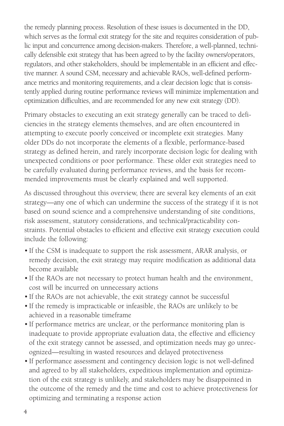the remedy planning process. Resolution of these issues is documented in the DD, which serves as the formal exit strategy for the site and requires consideration of public input and concurrence among decision-makers. Therefore, a well-planned, technically defensible exit strategy that has been agreed to by the facility owners/operators, regulators, and other stakeholders, should be implementable in an efficient and effective manner. A sound CSM, necessary and achievable RAOs, well-defined performance metrics and monitoring requirements, and a clear decision logic that is consistently applied during routine performance reviews will minimize implementation and optimization difficulties, and are recommended for any new exit strategy (DD).

Primary obstacles to executing an exit strategy generally can be traced to deficiencies in the strategy elements themselves, and are often encountered in attempting to execute poorly conceived or incomplete exit strategies. Many older DDs do not incorporate the elements of a flexible, performance-based strategy as defined herein, and rarely incorporate decision logic for dealing with unexpected conditions or poor performance. These older exit strategies need to be carefully evaluated during performance reviews, and the basis for recommended improvements must be clearly explained and well supported.

As discussed throughout this overview, there are several key elements of an exit strategy—any one of which can undermine the success of the strategy if it is not based on sound science and a comprehensive understanding of site conditions, risk assessment, statutory considerations, and technical/practicability constraints. Potential obstacles to efficient and effective exit strategy execution could include the following:

- If the CSM is inadequate to support the risk assessment, ARAR analysis, or remedy decision, the exit strategy may require modification as additional data become available
- If the RAOs are not necessary to protect human health and the environment, cost will be incurred on unnecessary actions
- If the RAOs are not achievable, the exit strategy cannot be successful
- If the remedy is impracticable or infeasible, the RAOs are unlikely to be achieved in a reasonable timeframe
- If performance metrics are unclear, or the performance monitoring plan is inadequate to provide appropriate evaluation data, the effective and efficiency of the exit strategy cannot be assessed, and optimization needs may go unrecognized—resulting in wasted resources and delayed protectiveness
- If performance assessment and contingency decision logic is not well-defined and agreed to by all stakeholders, expeditious implementation and optimization of the exit strategy is unlikely, and stakeholders may be disappointed in the outcome of the remedy and the time and cost to achieve protectiveness for optimizing and terminating a response action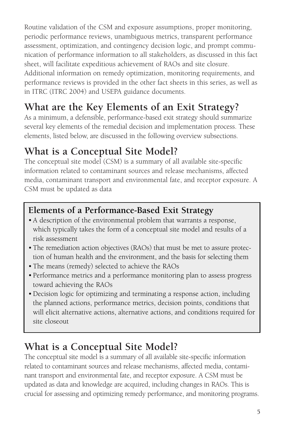Routine validation of the CSM and exposure assumptions, proper monitoring, periodic performance reviews, unambiguous metrics, transparent performance assessment, optimization, and contingency decision logic, and prompt communication of performance information to all stakeholders, as discussed in this fact sheet, will facilitate expeditious achievement of RAOs and site closure.

Additional information on remedy optimization, monitoring requirements, and performance reviews is provided in the other fact sheets in this series, as well as in ITRC (ITRC 2004) and USEPA guidance documents.

# **What are the Key Elements of an Exit Strategy?**

As a minimum, a defensible, performance-based exit strategy should summarize several key elements of the remedial decision and implementation process. These elements, listed below, are discussed in the following overview subsections.

## **What is a Conceptual Site Model?**

The conceptual site model (CSM) is a summary of all available site-specific information related to contaminant sources and release mechanisms, affected media, contaminant transport and environmental fate, and receptor exposure. A CSM must be updated as data

#### **Elements of a Performance-Based Exit Strategy**

- A description of the environmental problem that warrants a response, which typically takes the form of a conceptual site model and results of a risk assessment
- The remediation action objectives (RAOs) that must be met to assure protection of human health and the environment, and the basis for selecting them
- The means (remedy) selected to achieve the RAOs
- Performance metrics and a performance monitoring plan to assess progress toward achieving the RAOs
- •Decision logic for optimizing and terminating a response action, including the planned actions, performance metrics, decision points, conditions that will elicit alternative actions, alternative actions, and conditions required for site closeout

# **What is a Conceptual Site Model?**

The conceptual site model is a summary of all available site-specific information related to contaminant sources and release mechanisms, affected media, contaminant transport and environmental fate, and receptor exposure. A CSM must be updated as data and knowledge are acquired, including changes in RAOs. This is crucial for assessing and optimizing remedy performance, and monitoring programs.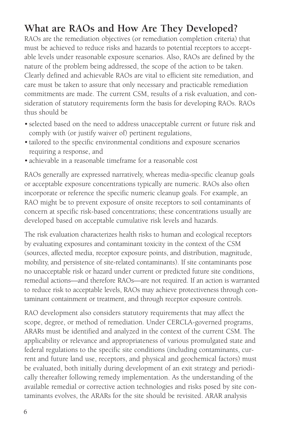#### **What are RAOs and How Are They Developed?**

RAOs are the remediation objectives (or remediation completion criteria) that must be achieved to reduce risks and hazards to potential receptors to acceptable levels under reasonable exposure scenarios. Also, RAOs are defined by the nature of the problem being addressed, the scope of the action to be taken. Clearly defined and achievable RAOs are vital to efficient site remediation, and care must be taken to assure that only necessary and practicable remediation commitments are made. The current CSM, results of a risk evaluation, and consideration of statutory requirements form the basis for developing RAOs. RAOs thus should be

- selected based on the need to address unacceptable current or future risk and comply with (or justify waiver of) pertinent regulations,
- tailored to the specific environmental conditions and exposure scenarios requiring a response, and
- achievable in a reasonable timeframe for a reasonable cost

RAOs generally are expressed narratively, whereas media-specific cleanup goals or acceptable exposure concentrations typically are numeric. RAOs also often incorporate or reference the specific numeric cleanup goals. For example, an RAO might be to prevent exposure of onsite receptors to soil contaminants of concern at specific risk-based concentrations; these concentrations usually are developed based on acceptable cumulative risk levels and hazards.

The risk evaluation characterizes health risks to human and ecological receptors by evaluating exposures and contaminant toxicity in the context of the CSM (sources, affected media, receptor exposure points, and distribution, magnitude, mobility, and persistence of site-related contaminants). If site contaminants pose no unacceptable risk or hazard under current or predicted future site conditions, remedial actions—and therefore RAOs—are not required. If an action is warranted to reduce risk to acceptable levels, RAOs may achieve protectiveness through contaminant containment or treatment, and through receptor exposure controls.

RAO development also considers statutory requirements that may affect the scope, degree, or method of remediation. Under CERCLA-governed programs, ARARs must be identified and analyzed in the context of the current CSM. The applicability or relevance and appropriateness of various promulgated state and federal regulations to the specific site conditions (including contaminants, current and future land use, receptors, and physical and geochemical factors) must be evaluated, both initially during development of an exit strategy and periodically thereafter following remedy implementation. As the understanding of the available remedial or corrective action technologies and risks posed by site contaminants evolves, the ARARs for the site should be revisited. ARAR analysis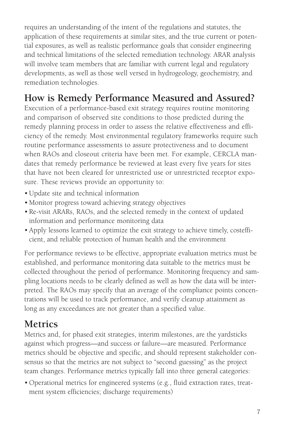requires an understanding of the intent of the regulations and statutes, the application of these requirements at similar sites, and the true current or potential exposures, as well as realistic performance goals that consider engineering and technical limitations of the selected remediation technology. ARAR analysis will involve team members that are familiar with current legal and regulatory developments, as well as those well versed in hydrogeology, geochemistry, and remediation technologies.

# **How is Remedy Performance Measured and Assured?**

Execution of a performance-based exit strategy requires routine monitoring and comparison of observed site conditions to those predicted during the remedy planning process in order to assess the relative effectiveness and efficiency of the remedy. Most environmental regulatory frameworks require such routine performance assessments to assure protectiveness and to document when RAOs and closeout criteria have been met. For example, CERCLA mandates that remedy performance be reviewed at least every five years for sites that have not been cleared for unrestricted use or unrestricted receptor exposure. These reviews provide an opportunity to:

- •Update site and technical information
- Monitor progress toward achieving strategy objectives
- Re-visit ARARs, RAOs, and the selected remedy in the context of updated information and performance monitoring data
- Apply lessons learned to optimize the exit strategy to achieve timely, costefficient, and reliable protection of human health and the environment

For performance reviews to be effective, appropriate evaluation metrics must be established, and performance monitoring data suitable to the metrics must be collected throughout the period of performance. Monitoring frequency and sampling locations needs to be clearly defined as well as how the data will be interpreted. The RAOs may specify that an average of the compliance points concentrations will be used to track performance, and verify cleanup attainment as long as any exceedances are not greater than a specified value.

# **Metrics**

Metrics and, for phased exit strategies, interim milestones, are the yardsticks against which progress—and success or failure—are measured. Performance metrics should be objective and specific, and should represent stakeholder consensus so that the metrics are not subject to "second guessing" as the project team changes. Performance metrics typically fall into three general categories:

• Operational metrics for engineered systems (e.g., fluid extraction rates, treatment system efficiencies; discharge requirements)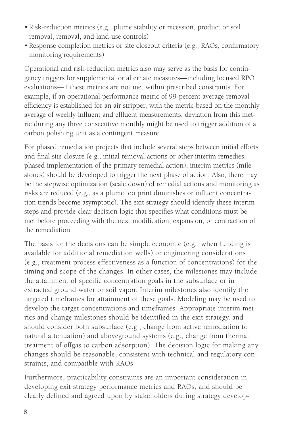- Risk-reduction metrics (e.g., plume stability or recession, product or soil removal, removal, and land-use controls)
- Response completion metrics or site closeout criteria (e.g., RAOs, confirmatory monitoring requirements)

Operational and risk-reduction metrics also may serve as the basis for contingency triggers for supplemental or alternate measures—including focused RPO evaluations—if these metrics are not met within prescribed constraints. For example, if an operational performance metric of 99-percent average removal efficiency is established for an air stripper, with the metric based on the monthly average of weekly influent and effluent measurements, deviation from this metric during any three consecutive monthly might be used to trigger addition of a carbon polishing unit as a contingent measure.

For phased remediation projects that include several steps between initial efforts and final site closure (e.g., initial removal actions or other interim remedies, phased implementation of the primary remedial action), interim metrics (milestones) should be developed to trigger the next phase of action. Also, there may be the stepwise optimization (scale down) of remedial actions and monitoring as risks are reduced (e.g., as a plume footprint diminishes or influent concentration trends become asymptotic). The exit strategy should identify these interim steps and provide clear decision logic that specifies what conditions must be met before proceeding with the next modification, expansion, or contraction of the remediation.

The basis for the decisions can be simple economic (e.g., when funding is available for additional remediation wells) or engineering considerations (e.g., treatment process effectiveness as a function of concentrations) for the timing and scope of the changes. In other cases, the milestones may include the attainment of specific concentration goals in the subsurface or in extracted ground water or soil vapor. Interim milestones also identify the targeted timeframes for attainment of these goals. Modeling may be used to develop the target concentrations and timeframes. Appropriate interim metrics and change milestones should be identified in the exit strategy, and should consider both subsurface (e.g., change from active remediation to natural attenuation) and aboveground systems (e.g., change from thermal treatment of offgas to carbon adsorption). The decision logic for making any changes should be reasonable, consistent with technical and regulatory constraints, and compatible with RAOs.

Furthermore, practicability constraints are an important consideration in developing exit strategy performance metrics and RAOs, and should be clearly defined and agreed upon by stakeholders during strategy develop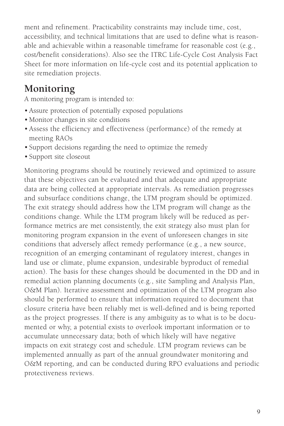ment and refinement. Practicability constraints may include time, cost, accessibility, and technical limitations that are used to define what is reasonable and achievable within a reasonable timeframe for reasonable cost (e.g., cost/benefit considerations). Also see the ITRC Life-Cycle Cost Analysis Fact Sheet for more information on life-cycle cost and its potential application to site remediation projects.

#### **Monitoring**

A monitoring program is intended to:

- Assure protection of potentially exposed populations
- Monitor changes in site conditions
- Assess the efficiency and effectiveness (performance) of the remedy at meeting RAOs
- Support decisions regarding the need to optimize the remedy
- Support site closeout

Monitoring programs should be routinely reviewed and optimized to assure that these objectives can be evaluated and that adequate and appropriate data are being collected at appropriate intervals. As remediation progresses and subsurface conditions change, the LTM program should be optimized. The exit strategy should address how the LTM program will change as the conditions change. While the LTM program likely will be reduced as performance metrics are met consistently, the exit strategy also must plan for monitoring program expansion in the event of unforeseen changes in site conditions that adversely affect remedy performance (e.g., a new source, recognition of an emerging contaminant of regulatory interest, changes in land use or climate, plume expansion, undesirable byproduct of remedial action). The basis for these changes should be documented in the DD and in remedial action planning documents (e.g., site Sampling and Analysis Plan, O&M Plan). Iterative assessment and optimization of the LTM program also should be performed to ensure that information required to document that closure criteria have been reliably met is well-defined and is being reported as the project progresses. If there is any ambiguity as to what is to be documented or why, a potential exists to overlook important information or to accumulate unnecessary data; both of which likely will have negative impacts on exit strategy cost and schedule. LTM program reviews can be implemented annually as part of the annual groundwater monitoring and O&M reporting, and can be conducted during RPO evaluations and periodic protectiveness reviews.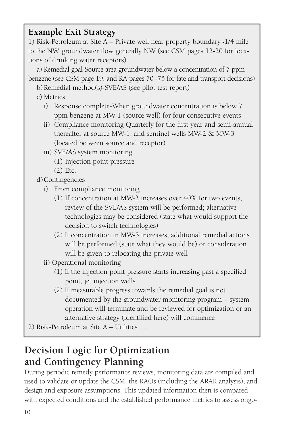#### **Example Exit Strategy**

1) Risk-Petroleum at Site A – Private well near property boundary~1/4 mile to the NW, groundwater flow generally NW (see CSM pages 12-20 for locations of drinking water receptors)

a) Remedial goal-Source area groundwater below a concentration of 7 ppm benzene (see CSM page 19, and RA pages 70 -75 for fate and transport decisions)

b) Remedial method(s)-SVE/AS (see pilot test report)

- c) Metrics
	- i) Response complete-When groundwater concentration is below 7 ppm benzene at MW-1 (source well) for four consecutive events
	- ii) Compliance monitoring-Quarterly for the first year and semi-annual thereafter at source MW-1, and sentinel wells MW-2 & MW-3 (located between source and receptor)
	- iii) SVE/AS system monitoring
		- (1) Injection point pressure
		- (2) Etc.

d)Contingencies

- i) From compliance monitoring
	- (1) If concentration at MW-2 increases over 40% for two events, review of the SVE/AS system will be performed; alternative technologies may be considered (state what would support the decision to switch technologies)
	- (2) If concentration in MW-3 increases, additional remedial actions will be performed (state what they would be) or consideration will be given to relocating the private well
- ii) Operational monitoring
	- (1) If the injection point pressure starts increasing past a specified point, jet injection wells
	- (2) If measurable progress towards the remedial goal is not documented by the groundwater monitoring program – system operation will terminate and be reviewed for optimization or an alternative strategy (identified here) will commence
- 2) Risk-Petroleum at Site A Utilities …

#### **Decision Logic for Optimization and Contingency Planning**

During periodic remedy performance reviews, monitoring data are compiled and used to validate or update the CSM, the RAOs (including the ARAR analysis), and design and exposure assumptions. This updated information then is compared with expected conditions and the established performance metrics to assess ongo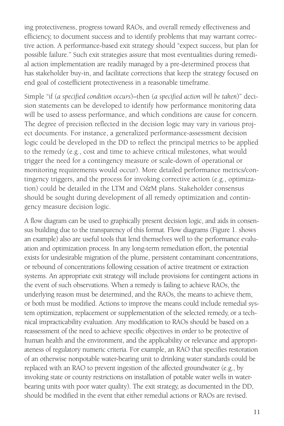ing protectiveness, progress toward RAOs, and overall remedy effectiveness and efficiency, to document success and to identify problems that may warrant corrective action. A performance-based exit strategy should "expect success, but plan for possible failure." Such exit strategies assure that most eventualities during remedial action implementation are readily managed by a pre-determined process that has stakeholder buy-in, and facilitate corrections that keep the strategy focused on end goal of costefficient protectiveness in a reasonable timeframe.

Simple "if (*a specified condition occurs*)–then (*a specified action will be taken*)" decision statements can be developed to identify how performance monitoring data will be used to assess performance, and which conditions are cause for concern. The degree of precision reflected in the decision logic may vary in various project documents. For instance, a generalized performance-assessment decision logic could be developed in the DD to reflect the principal metrics to be applied to the remedy (e.g., cost and time to achieve critical milestones, what would trigger the need for a contingency measure or scale-down of operational or monitoring requirements would occur). More detailed performance metrics/contingency triggers, and the process for invoking corrective action (e.g., optimization) could be detailed in the LTM and O&M plans. Stakeholder consensus should be sought during development of all remedy optimization and contingency measure decision logic.

A flow diagram can be used to graphically present decision logic, and aids in consensus building due to the transparency of this format. Flow diagrams (Figure 1. shows an example) also are useful tools that lend themselves well to the performance evaluation and optimization process. In any long-term remediation effort, the potential exists for undesirable migration of the plume, persistent contaminant concentrations, or rebound of concentrations following cessation of active treatment or extraction systems. An appropriate exit strategy will include provisions for contingent actions in the event of such observations. When a remedy is failing to achieve RAOs, the underlying reason must be determined, and the RAOs, the means to achieve them, or both must be modified. Actions to improve the means could include remedial system optimization, replacement or supplementation of the selected remedy, or a technical impracticability evaluation. Any modification to RAOs should be based on a reassessment of the need to achieve specific objectives in order to be protective of human health and the environment, and the applicability or relevance and appropriateness of regulatory numeric criteria. For example, an RAO that specifies restoration of an otherwise nonpotable water-bearing unit to drinking water standards could be replaced with an RAO to prevent ingestion of the affected groundwater (e.g., by invoking state or county restrictions on installation of potable water wells in waterbearing units with poor water quality). The exit strategy, as documented in the DD, should be modified in the event that either remedial actions or RAOs are revised.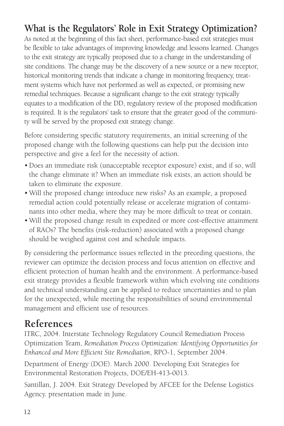## **What is the Regulators' Role in Exit Strategy Optimization?**

As noted at the beginning of this fact sheet, performance-based exit strategies must be flexible to take advantages of improving knowledge and lessons learned. Changes to the exit strategy are typically proposed due to a change in the understanding of site conditions. The change may be the discovery of a new source or a new receptor, historical monitoring trends that indicate a change in monitoring frequency, treatment systems which have not performed as well as expected, or promising new remedial techniques. Because a significant change to the exit strategy typically equates to a modification of the DD, regulatory review of the proposed modification is required. It is the regulators' task to ensure that the greater good of the community will be served by the proposed exit strategy change.

Before considering specific statutory requirements, an initial screening of the proposed change with the following questions can help put the decision into perspective and give a feel for the necessity of action.

- •Does an immediate risk (unacceptable receptor exposure) exist, and if so, will the change eliminate it? When an immediate risk exists, an action should be taken to eliminate the exposure.
- Will the proposed change introduce new risks? As an example, a proposed remedial action could potentially release or accelerate migration of contaminants into other media, where they may be more difficult to treat or contain.
- Will the proposed change result in expedited or more cost-effective attainment of RAOs? The benefits (risk-reduction) associated with a proposed change should be weighed against cost and schedule impacts.

By considering the performance issues reflected in the preceding questions, the reviewer can optimize the decision process and focus attention on effective and efficient protection of human health and the environment. A performance-based exit strategy provides a flexible framework within which evolving site conditions and technical understanding can be applied to reduce uncertainties and to plan for the unexpected, while meeting the responsibilities of sound environmental management and efficient use of resources.

#### **References**

ITRC, 2004. Interstate Technology Regulatory Council Remediation Process Optimization Team, *Remediation Process Optimization: Identifying Opportunities for Enhanced and More Efficient Site Remediation*, RPO-1, September 2004.

Department of Energy (DOE). March 2000. Developing Exit Strategies for Environmental Restoration Projects, DOE/EH-413-0013.

Santillan, J. 2004. Exit Strategy Developed by AFCEE for the Defense Logistics Agency. presentation made in June.